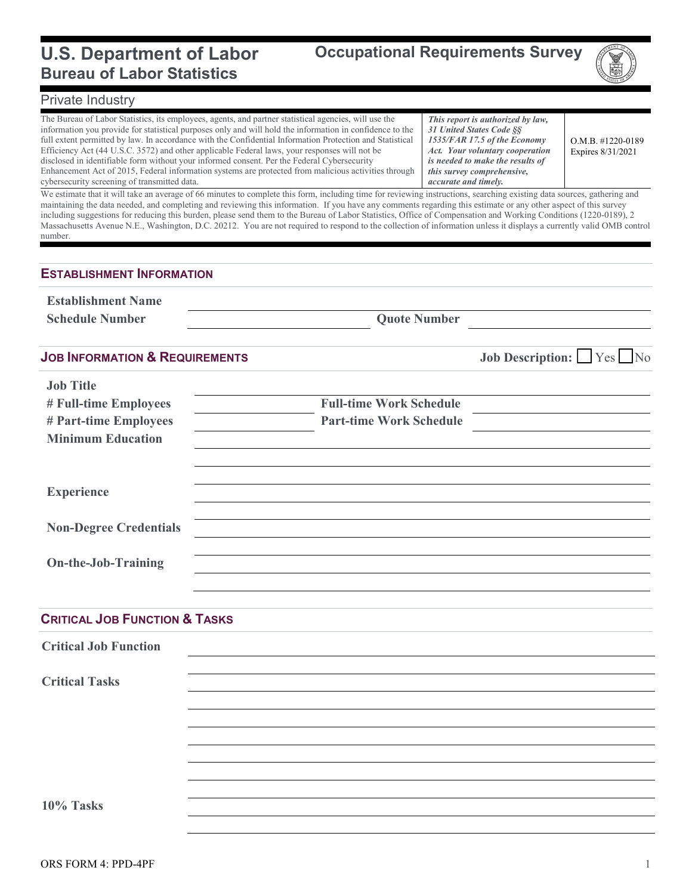#### **U.S. Department of Labor Bureau of Labor Statistics**



## Private Industry

| The Bureau of Labor Statistics, its employees, agents, and partner statistical agencies, will use the<br>information you provide for statistical purposes only and will hold the information in confidence to the<br>full extent permitted by law. In accordance with the Confidential Information Protection and Statistical<br>Efficiency Act (44 U.S.C. 3572) and other applicable Federal laws, your responses will not be<br>disclosed in identifiable form without your informed consent. Per the Federal Cybersecurity<br>Enhancement Act of 2015, Federal information systems are protected from malicious activities through<br>cybersecurity screening of transmitted data.<br>We estimate that it will take an average of 66 minutes to complete this form, including time for reviewing instructions, searching existing data sources, gathering and |                                | This report is authorized by law,<br>31 United States Code §§<br>1535/FAR 17.5 of the Economy<br>Act. Your voluntary cooperation<br>is needed to make the results of<br>this survey comprehensive,<br>accurate and timely. | $O.M.B.$ #1220-0189<br>Expires 8/31/2021 |
|------------------------------------------------------------------------------------------------------------------------------------------------------------------------------------------------------------------------------------------------------------------------------------------------------------------------------------------------------------------------------------------------------------------------------------------------------------------------------------------------------------------------------------------------------------------------------------------------------------------------------------------------------------------------------------------------------------------------------------------------------------------------------------------------------------------------------------------------------------------|--------------------------------|----------------------------------------------------------------------------------------------------------------------------------------------------------------------------------------------------------------------------|------------------------------------------|
| maintaining the data needed, and completing and reviewing this information. If you have any comments regarding this estimate or any other aspect of this survey<br>including suggestions for reducing this burden, please send them to the Bureau of Labor Statistics, Office of Compensation and Working Conditions (1220-0189), 2<br>Massachusetts Avenue N.E., Washington, D.C. 20212. You are not required to respond to the collection of information unless it displays a currently valid OMB control<br>number.                                                                                                                                                                                                                                                                                                                                           |                                |                                                                                                                                                                                                                            |                                          |
| <b>ESTABLISHMENT INFORMATION</b>                                                                                                                                                                                                                                                                                                                                                                                                                                                                                                                                                                                                                                                                                                                                                                                                                                 |                                |                                                                                                                                                                                                                            |                                          |
| <b>Establishment Name</b>                                                                                                                                                                                                                                                                                                                                                                                                                                                                                                                                                                                                                                                                                                                                                                                                                                        |                                |                                                                                                                                                                                                                            |                                          |
| <b>Schedule Number</b>                                                                                                                                                                                                                                                                                                                                                                                                                                                                                                                                                                                                                                                                                                                                                                                                                                           | <b>Quote Number</b>            |                                                                                                                                                                                                                            |                                          |
| <b>JOB INFORMATION &amp; REQUIREMENTS</b>                                                                                                                                                                                                                                                                                                                                                                                                                                                                                                                                                                                                                                                                                                                                                                                                                        |                                |                                                                                                                                                                                                                            | <b>Job Description:</b> Yes No           |
| <b>Job Title</b>                                                                                                                                                                                                                                                                                                                                                                                                                                                                                                                                                                                                                                                                                                                                                                                                                                                 |                                |                                                                                                                                                                                                                            |                                          |
| # Full-time Employees                                                                                                                                                                                                                                                                                                                                                                                                                                                                                                                                                                                                                                                                                                                                                                                                                                            | <b>Full-time Work Schedule</b> |                                                                                                                                                                                                                            |                                          |
| # Part-time Employees<br><b>Minimum Education</b>                                                                                                                                                                                                                                                                                                                                                                                                                                                                                                                                                                                                                                                                                                                                                                                                                | <b>Part-time Work Schedule</b> |                                                                                                                                                                                                                            |                                          |
|                                                                                                                                                                                                                                                                                                                                                                                                                                                                                                                                                                                                                                                                                                                                                                                                                                                                  |                                |                                                                                                                                                                                                                            |                                          |
| <b>Experience</b>                                                                                                                                                                                                                                                                                                                                                                                                                                                                                                                                                                                                                                                                                                                                                                                                                                                |                                |                                                                                                                                                                                                                            |                                          |
| <b>Non-Degree Credentials</b>                                                                                                                                                                                                                                                                                                                                                                                                                                                                                                                                                                                                                                                                                                                                                                                                                                    |                                |                                                                                                                                                                                                                            |                                          |
| <b>On-the-Job-Training</b>                                                                                                                                                                                                                                                                                                                                                                                                                                                                                                                                                                                                                                                                                                                                                                                                                                       |                                |                                                                                                                                                                                                                            |                                          |
| <b>CRITICAL JOB FUNCTION &amp; TASKS</b>                                                                                                                                                                                                                                                                                                                                                                                                                                                                                                                                                                                                                                                                                                                                                                                                                         |                                |                                                                                                                                                                                                                            |                                          |
| <b>Critical Job Function</b>                                                                                                                                                                                                                                                                                                                                                                                                                                                                                                                                                                                                                                                                                                                                                                                                                                     |                                |                                                                                                                                                                                                                            |                                          |
|                                                                                                                                                                                                                                                                                                                                                                                                                                                                                                                                                                                                                                                                                                                                                                                                                                                                  |                                |                                                                                                                                                                                                                            |                                          |
| <b>Critical Tasks</b>                                                                                                                                                                                                                                                                                                                                                                                                                                                                                                                                                                                                                                                                                                                                                                                                                                            |                                |                                                                                                                                                                                                                            |                                          |
|                                                                                                                                                                                                                                                                                                                                                                                                                                                                                                                                                                                                                                                                                                                                                                                                                                                                  |                                |                                                                                                                                                                                                                            |                                          |
|                                                                                                                                                                                                                                                                                                                                                                                                                                                                                                                                                                                                                                                                                                                                                                                                                                                                  |                                |                                                                                                                                                                                                                            |                                          |
|                                                                                                                                                                                                                                                                                                                                                                                                                                                                                                                                                                                                                                                                                                                                                                                                                                                                  |                                |                                                                                                                                                                                                                            |                                          |
|                                                                                                                                                                                                                                                                                                                                                                                                                                                                                                                                                                                                                                                                                                                                                                                                                                                                  |                                |                                                                                                                                                                                                                            |                                          |
| 10% Tasks                                                                                                                                                                                                                                                                                                                                                                                                                                                                                                                                                                                                                                                                                                                                                                                                                                                        |                                |                                                                                                                                                                                                                            |                                          |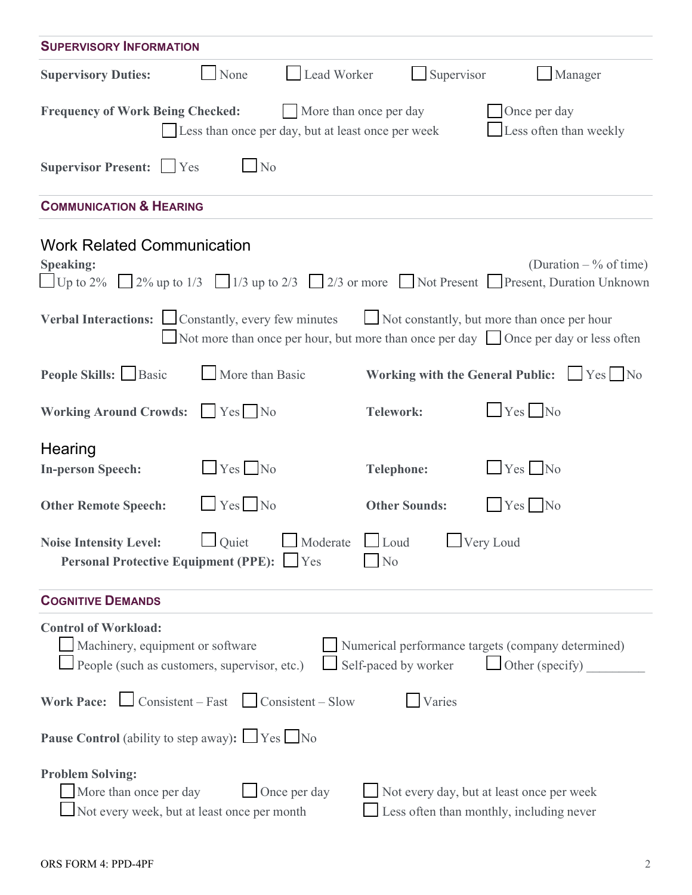| <b>SUPERVISORY INFORMATION</b>                                                                                                                                                           |                        |                                                                                       |  |  |  |  |  |
|------------------------------------------------------------------------------------------------------------------------------------------------------------------------------------------|------------------------|---------------------------------------------------------------------------------------|--|--|--|--|--|
| Lead Worker<br><b>Supervisory Duties:</b><br>None                                                                                                                                        | Supervisor             | Manager                                                                               |  |  |  |  |  |
| <b>Frequency of Work Being Checked:</b><br>Less than once per day, but at least once per week                                                                                            | More than once per day | Once per day<br>Less often than weekly                                                |  |  |  |  |  |
| Supervisor Present: Ves<br>$\blacksquare$ No                                                                                                                                             |                        |                                                                                       |  |  |  |  |  |
| <b>COMMUNICATION &amp; HEARING</b>                                                                                                                                                       |                        |                                                                                       |  |  |  |  |  |
| <b>Work Related Communication</b><br><b>Speaking:</b><br>$\Box$ Up to 2% $\Box$ 2% up to 1/3 $\Box$ 1/3 up to 2/3 $\Box$ 2/3 or more $\Box$ Not Present $\Box$ Present, Duration Unknown |                        | (Duration $-$ % of time)                                                              |  |  |  |  |  |
| Verbal Interactions: Constantly, every few minutes<br>Not more than once per hour, but more than once per day $\Box$ Once per day or less often                                          |                        | Not constantly, but more than once per hour                                           |  |  |  |  |  |
| People Skills: Basic<br>More than Basic                                                                                                                                                  |                        | Working with the General Public: $\Box$ Yes $\Box$ No                                 |  |  |  |  |  |
| <b>Working Around Crowds:</b><br>Yes No                                                                                                                                                  | <b>Telework:</b>       | $Yes$ No                                                                              |  |  |  |  |  |
| Hearing<br>$Yes$ No<br><b>In-person Speech:</b>                                                                                                                                          | <b>Telephone:</b>      | $Yes$ No                                                                              |  |  |  |  |  |
| $\Box$ Yes $\Box$ No<br><b>Other Remote Speech:</b>                                                                                                                                      | <b>Other Sounds:</b>   | $Yes$ No                                                                              |  |  |  |  |  |
| Quiet Moderate Loud Very Loud<br><b>Noise Intensity Level:</b><br>Personal Protective Equipment (PPE): Tes<br>N <sub>o</sub>                                                             |                        |                                                                                       |  |  |  |  |  |
| <b>COGNITIVE DEMANDS</b>                                                                                                                                                                 |                        |                                                                                       |  |  |  |  |  |
| <b>Control of Workload:</b><br>Machinery, equipment or software<br>People (such as customers, supervisor, etc.)                                                                          | Self-paced by worker   | Numerical performance targets (company determined)<br>$\Box$ Other (specify)          |  |  |  |  |  |
| <b>Work Pace:</b> $\Box$ Consistent – Fast $\Box$ Consistent – Slow                                                                                                                      | Varies                 |                                                                                       |  |  |  |  |  |
| <b>Pause Control</b> (ability to step away): $\Box$ Yes $\Box$ No                                                                                                                        |                        |                                                                                       |  |  |  |  |  |
| <b>Problem Solving:</b><br>More than once per day<br>Once per day<br>Not every week, but at least once per month                                                                         |                        | Not every day, but at least once per week<br>Less often than monthly, including never |  |  |  |  |  |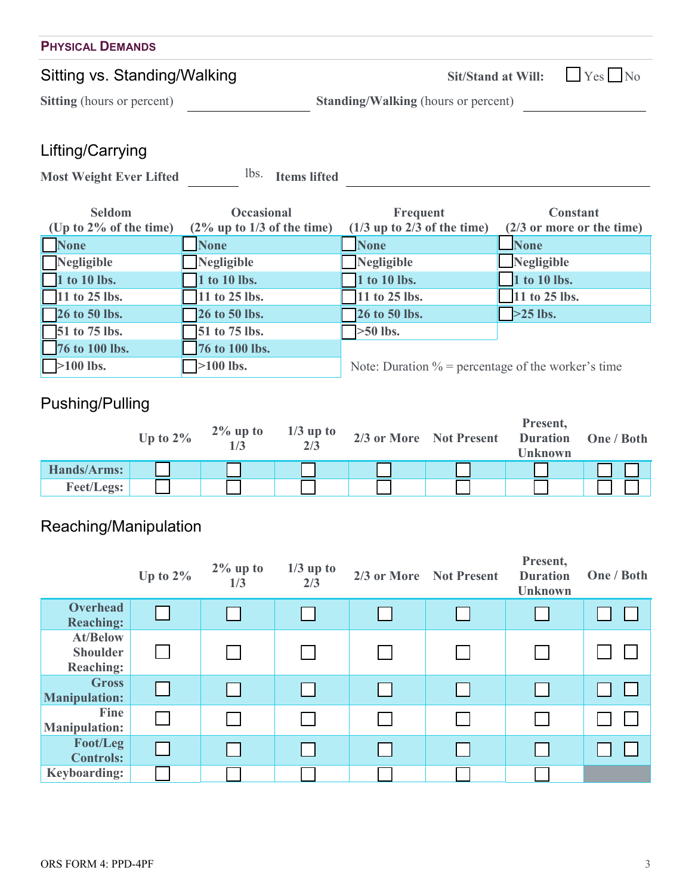| <b>PHYSICAL DEMANDS</b>           |                                            |  |
|-----------------------------------|--------------------------------------------|--|
| Sitting vs. Standing/Walking      | Sit/Stand at Will: $\Box$ Yes $\Box$ No    |  |
| <b>Sitting</b> (hours or percent) | <b>Standing/Walking (hours or percent)</b> |  |
|                                   |                                            |  |

## Lifting/Carrying

Most Weight Ever Lifted <sup>lbs.</sup> Items lifted

| <b>Seldom</b>             | <b>Occasional</b>             | Frequent                                              | <b>Constant</b>              |
|---------------------------|-------------------------------|-------------------------------------------------------|------------------------------|
| (Up to $2\%$ of the time) | $(2\%$ up to 1/3 of the time) | $(1/3$ up to 2/3 of the time)                         | $(2/3)$ or more or the time) |
| <b>None</b>               | <b>None</b>                   | <b>None</b>                                           | <b>None</b>                  |
| Negligible                | Negligible                    | Negligible                                            | $\Box$ Negligible            |
| 1 to 10 lbs.              | 1 to 10 lbs.                  | 1 to 10 lbs.                                          | 1 to 10 lbs.                 |
| $\Box$ 11 to 25 lbs.      | $\sqrt{11}$ to 25 lbs.        | 11 to 25 lbs.                                         | 11 to 25 lbs.                |
| $\sqrt{26}$ to 50 lbs.    | <b>26 to 50 lbs.</b>          | 26 to 50 lbs.                                         | $>25$ lbs.                   |
| $\sqrt{51}$ to 75 lbs.    | 51 to 75 lbs.                 | $\geq 50$ lbs.                                        |                              |
| 76 to 100 lbs.            | 76 to 100 lbs.                |                                                       |                              |
| $>100$ lbs.               | $\sqrt{>100}$ lbs.            | Note: Duration $\%$ = percentage of the worker's time |                              |

# Pushing/Pulling

|                   | Up to $2\%$ | $2\%$ up to | $1/3$ up to<br>2/3 | 2/3 or More Not Present | Present,<br><b>Duration</b><br><b>Unknown</b> | One / Both |
|-------------------|-------------|-------------|--------------------|-------------------------|-----------------------------------------------|------------|
| Hands/Arms:       |             |             |                    |                         |                                               |            |
| <b>Feet/Legs:</b> |             |             |                    |                         |                                               |            |

# Reaching/Manipulation

|                                                        | Up to $2\%$ | $2\%$ up to<br>1/3 | $1/3$ up to<br>2/3 | 2/3 or More Not Present | Present,<br><b>Duration</b><br><b>Unknown</b> | One / Both |
|--------------------------------------------------------|-------------|--------------------|--------------------|-------------------------|-----------------------------------------------|------------|
| <b>Overhead</b><br><b>Reaching:</b>                    |             |                    |                    |                         |                                               |            |
| <b>At/Below</b><br><b>Shoulder</b><br><b>Reaching:</b> |             |                    |                    |                         |                                               |            |
| <b>Gross</b><br><b>Manipulation:</b>                   |             |                    |                    |                         |                                               |            |
| Fine<br><b>Manipulation:</b>                           |             |                    |                    |                         |                                               |            |
| Foot/Leg<br><b>Controls:</b>                           |             |                    |                    |                         |                                               |            |
| <b>Keyboarding:</b>                                    |             |                    |                    |                         |                                               |            |